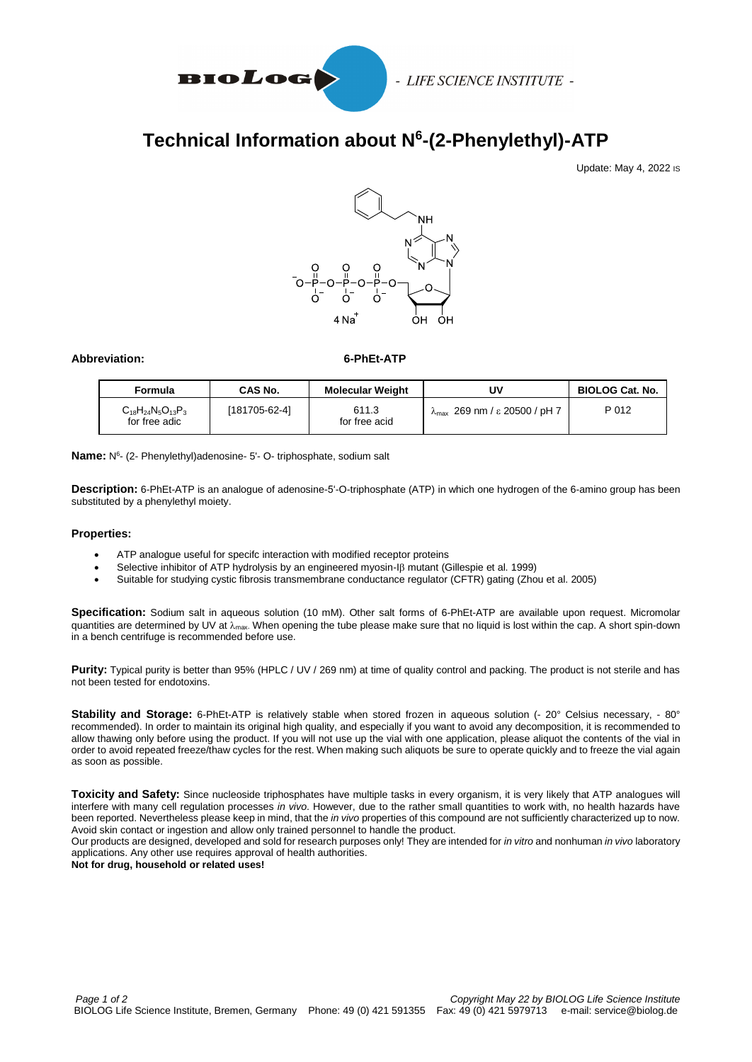

# **Technical Information about N<sup>6</sup> -(2-Phenylethyl)-ATP**

Update: May 4, 2022 IS



## **Abbreviation: 6-PhEt-ATP**

| Formula                                     | CAS No.       | <b>Molecular Weight</b> | U٧                                | <b>BIOLOG Cat. No.</b> |
|---------------------------------------------|---------------|-------------------------|-----------------------------------|------------------------|
| $C_{18}H_{24}N_5O_{13}P_3$<br>for free adic | [181705-62-4] | 611.3<br>for free acid  | $λ_{max}$ 269 nm / ε 20500 / pH 7 | P 012                  |

**Name:** N 6 - (2- Phenylethyl)adenosine- 5'- O- triphosphate, sodium salt

**Description:** 6-PhEt-ATP is an analogue of adenosine-5'-O-triphosphate (ATP) in which one hydrogen of the 6-amino group has been substituted by a phenylethyl moiety.

#### **Properties:**

- ATP analogue useful for specifc interaction with modified receptor proteins
- Selective inhibitor of ATP hydrolysis by an engineered myosin- $\beta$  mutant (Gillespie et al. 1999)
- Suitable for studying cystic fibrosis transmembrane conductance regulator (CFTR) gating (Zhou et al. 2005)

**Specification:** Sodium salt in aqueous solution (10 mM). Other salt forms of 6-PhEt-ATP are available upon request. Micromolar quantities are determined by UV at  $\lambda_{\text{max}}$ . When opening the tube please make sure that no liquid is lost within the cap. A short spin-down in a bench centrifuge is recommended before use.

**Purity:** Typical purity is better than 95% (HPLC / UV / 269 nm) at time of quality control and packing. The product is not sterile and has not been tested for endotoxins.

**Stability and Storage:** 6-PhEt-ATP is relatively stable when stored frozen in aqueous solution (- 20° Celsius necessary, - 80° recommended). In order to maintain its original high quality, and especially if you want to avoid any decomposition, it is recommended to allow thawing only before using the product. If you will not use up the vial with one application, please aliquot the contents of the vial in order to avoid repeated freeze/thaw cycles for the rest. When making such aliquots be sure to operate quickly and to freeze the vial again as soon as possible.

**Toxicity and Safety:** Since nucleoside triphosphates have multiple tasks in every organism, it is very likely that ATP analogues will interfere with many cell regulation processes *in vivo*. However, due to the rather small quantities to work with, no health hazards have been reported. Nevertheless please keep in mind, that the *in vivo* properties of this compound are not sufficiently characterized up to now. Avoid skin contact or ingestion and allow only trained personnel to handle the product.

Our products are designed, developed and sold for research purposes only! They are intended for *in vitro* and nonhuman *in vivo* laboratory applications. Any other use requires approval of health authorities.

**Not for drug, household or related uses!**